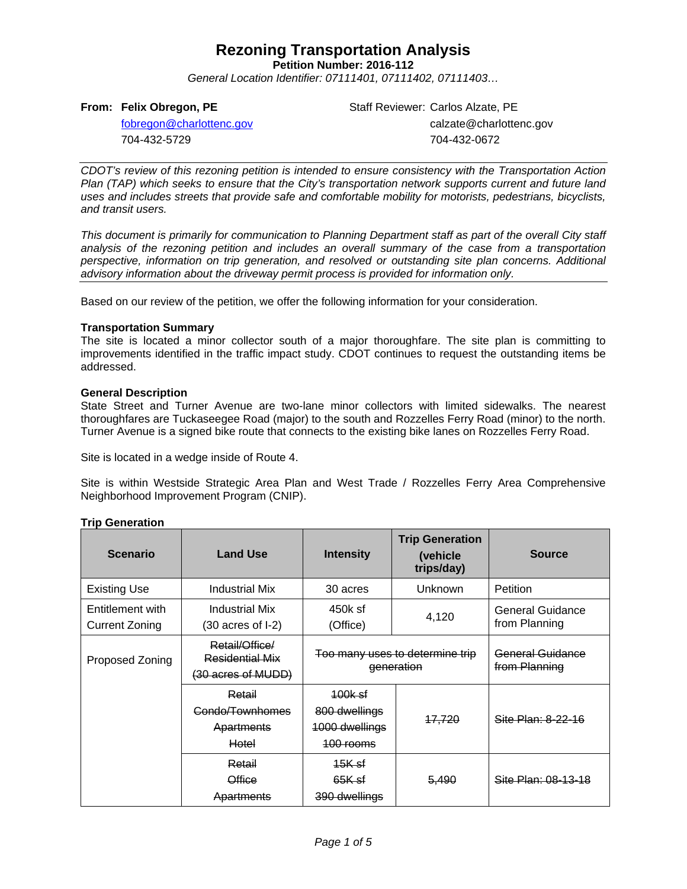**Petition Number: 2016-112**

*General Location Identifier: 07111401, 07111402, 07111403…*

#### **From: Felix Obregon, PE**

Staff Reviewer: Carlos Alzate, PE calzate@charlottenc.gov 704-432-0672

[fobregon@charlottenc.gov](mailto:fobregon@charlottenc.gov) 704-432-5729

*CDOT's review of this rezoning petition is intended to ensure consistency with the Transportation Action Plan (TAP) which seeks to ensure that the City's transportation network supports current and future land uses and includes streets that provide safe and comfortable mobility for motorists, pedestrians, bicyclists, and transit users.*

*This document is primarily for communication to Planning Department staff as part of the overall City staff analysis of the rezoning petition and includes an overall summary of the case from a transportation perspective, information on trip generation, and resolved or outstanding site plan concerns. Additional advisory information about the driveway permit process is provided for information only.*

Based on our review of the petition, we offer the following information for your consideration.

#### **Transportation Summary**

The site is located a minor collector south of a major thoroughfare. The site plan is committing to improvements identified in the traffic impact study. CDOT continues to request the outstanding items be addressed.

#### **General Description**

State Street and Turner Avenue are two-lane minor collectors with limited sidewalks. The nearest thoroughfares are Tuckaseegee Road (major) to the south and Rozzelles Ferry Road (minor) to the north. Turner Avenue is a signed bike route that connects to the existing bike lanes on Rozzelles Ferry Road.

Site is located in a wedge inside of Route 4.

Site is within Westside Strategic Area Plan and West Trade / Rozzelles Ferry Area Comprehensive Neighborhood Improvement Program (CNIP).

#### **Trip Generation**

| <b>Scenario</b>                           | <b>Land Use</b>                                         | <b>Intensity</b>                                        | <b>Trip Generation</b><br>(vehicle<br>trips/day) | <b>Source</b>                     |
|-------------------------------------------|---------------------------------------------------------|---------------------------------------------------------|--------------------------------------------------|-----------------------------------|
| <b>Existing Use</b>                       | Industrial Mix                                          | 30 acres                                                | <b>Unknown</b>                                   | Petition                          |
| Entitlement with<br><b>Current Zoning</b> | Industrial Mix<br>$(30 \text{ acres of } I-2)$          | 450k sf<br>(Office)                                     | 4,120                                            | General Guidance<br>from Planning |
| Proposed Zoning                           | Retail/Office/<br>Residential Mix<br>(30 acres of MUDD) | Too many uses to determine trip<br>eeneration           |                                                  | General Guidance<br>from Planning |
|                                           | Retail<br>Condo/Townhomes<br>Apartments<br>Hotel        | 100k sf<br>800 dwellings<br>1000 dwellings<br>100 rooms | <b>17.720</b>                                    | Site Plan: 8-22-16                |
|                                           | Retail<br>Office<br>Apartments                          | <del>15K sf</del><br>65K sf<br>390 dwellings            | <del>5,490</del>                                 | Site Plan: 08-13-18               |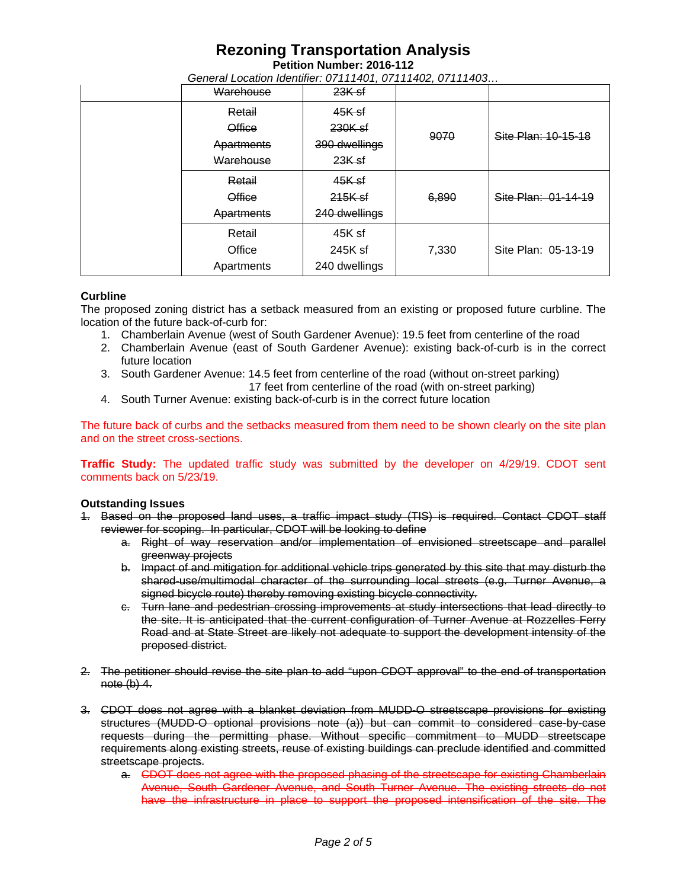**Petition Number: 2016-112**

*General Location Identifier: 07111401, 07111402, 07111403…*

| Warehouse     | $23K$ sf      |       |                     |
|---------------|---------------|-------|---------------------|
| Retail        | 45K sf        |       |                     |
| <b>Office</b> | $230K$ sf     | 9070  | Site Plan: 10-15-18 |
| Apartments    | 390 dwellings |       |                     |
| Warehouse     | $23K$ sf      |       |                     |
| Retail        | 45K sf        |       |                     |
| <b>Office</b> | $215K$ sf     | 6,890 | Site Plan: 01-14-19 |
| Apartments    | 240 dwellings |       |                     |
| Retail        | 45K sf        |       |                     |
| Office        | 245K sf       | 7,330 | Site Plan: 05-13-19 |
| Apartments    | 240 dwellings |       |                     |

#### **Curbline**

The proposed zoning district has a setback measured from an existing or proposed future curbline. The location of the future back-of-curb for:

- 1. Chamberlain Avenue (west of South Gardener Avenue): 19.5 feet from centerline of the road
- 2. Chamberlain Avenue (east of South Gardener Avenue): existing back-of-curb is in the correct future location
- 3. South Gardener Avenue: 14.5 feet from centerline of the road (without on-street parking) 17 feet from centerline of the road (with on-street parking)
- 4. South Turner Avenue: existing back-of-curb is in the correct future location

The future back of curbs and the setbacks measured from them need to be shown clearly on the site plan and on the street cross-sections.

**Traffic Study:** The updated traffic study was submitted by the developer on 4/29/19. CDOT sent comments back on 5/23/19.

#### **Outstanding Issues**

- 1. Based on the proposed land uses, a traffic impact study (TIS) is required. Contact CDOT staff reviewer for scoping. In particular, CDOT will be looking to define
	- a. Right of way reservation and/or implementation of envisioned streetscape and parallel greenway projects
	- b. Impact of and mitigation for additional vehicle trips generated by this site that may disturb the shared-use/multimodal character of the surrounding local streets (e.g. Turner Avenue, a signed bicycle route) thereby removing existing bicycle connectivity.
	- c. Turn lane and pedestrian crossing improvements at study intersections that lead directly to the site. It is anticipated that the current configuration of Turner Avenue at Rozzelles Ferry Road and at State Street are likely not adequate to support the development intensity of the proposed district.
- 2. The petitioner should revise the site plan to add "upon CDOT approval" to the end of transportation  $note (b) 4.$
- 3. CDOT does not agree with a blanket deviation from MUDD-O streetscape provisions for existing structures (MUDD-O optional provisions note (a)) but can commit to considered case-by-case requests during the permitting phase. Without specific commitment to MUDD streetscape requirements along existing streets, reuse of existing buildings can preclude identified and committed streetscape projects.
	- a. CDOT does not agree with the proposed phasing of the streetscape for existing Chamberlain Avenue, South Gardener Avenue, and South Turner Avenue. The existing streets do not have the infrastructure in place to support the proposed intensification of the site. The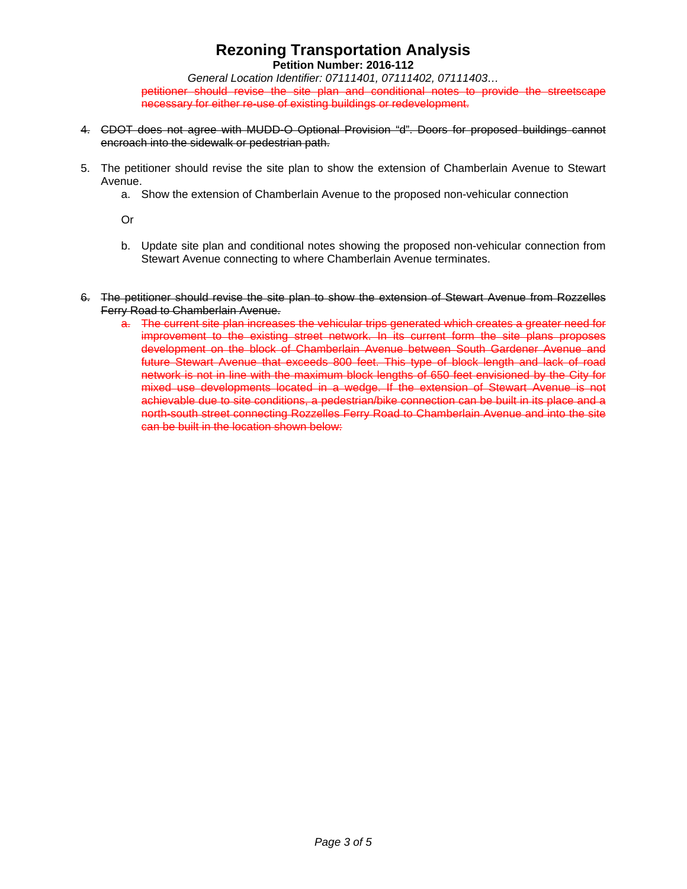**Petition Number: 2016-112**

*General Location Identifier: 07111401, 07111402, 07111403…* petitioner should revise the site plan and conditional notes to provide the streetscape necessary for either re-use of existing buildings or redevelopment.

- 4. CDOT does not agree with MUDD-O Optional Provision "d". Doors for proposed buildings cannot encroach into the sidewalk or pedestrian path.
- 5. The petitioner should revise the site plan to show the extension of Chamberlain Avenue to Stewart Avenue.
	- a. Show the extension of Chamberlain Avenue to the proposed non-vehicular connection

Or

- b. Update site plan and conditional notes showing the proposed non-vehicular connection from Stewart Avenue connecting to where Chamberlain Avenue terminates.
- 6. The petitioner should revise the site plan to show the extension of Stewart Avenue from Rozzelles Ferry Road to Chamberlain Avenue.
	- a. The current site plan increases the vehicular trips generated which creates a greater need for improvement to the existing street network. In its current form the site plans proposes development on the block of Chamberlain Avenue between South Gardener Avenue and future Stewart Avenue that exceeds 800 feet. This type of block length and lack of road network is not in line with the maximum block lengths of 650 feet envisioned by the City for mixed use developments located in a wedge. If the extension of Stewart Avenue is not achievable due to site conditions, a pedestrian/bike connection can be built in its place and a north-south street connecting Rozzelles Ferry Road to Chamberlain Avenue and into the site can be built in the location shown below: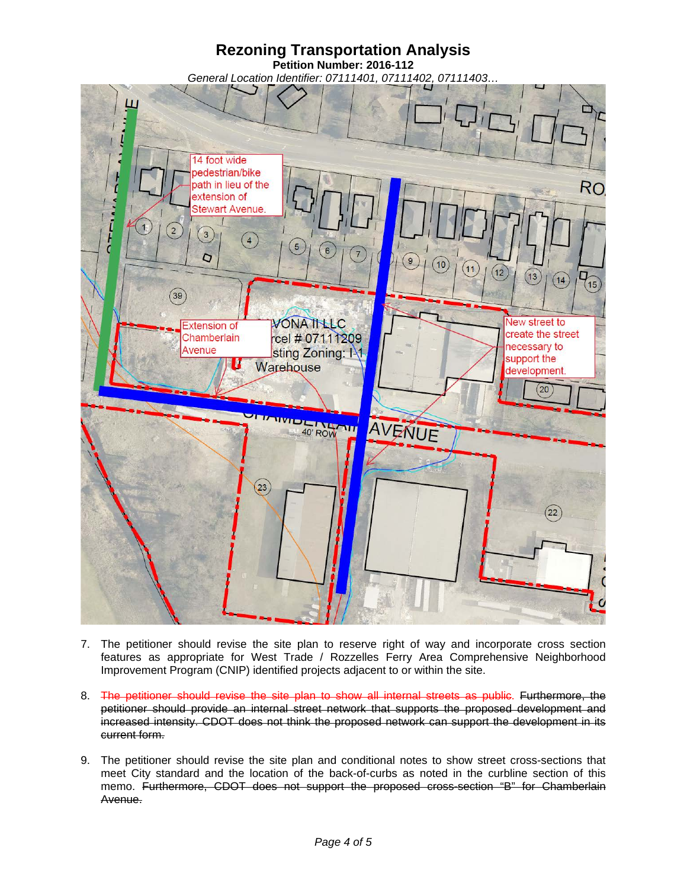### **Rezoning Transportation Analysis Petition Number: 2016-112** *General Location Identifier: 07111401, 07111402, 07111403…*



- 7. The petitioner should revise the site plan to reserve right of way and incorporate cross section features as appropriate for West Trade / Rozzelles Ferry Area Comprehensive Neighborhood Improvement Program (CNIP) identified projects adjacent to or within the site.
- 8. The petitioner should revise the site plan to show all internal streets as public. Furthermore, the petitioner should provide an internal street network that supports the proposed development and increased intensity. CDOT does not think the proposed network can support the development in its current form.
- 9. The petitioner should revise the site plan and conditional notes to show street cross-sections that meet City standard and the location of the back-of-curbs as noted in the curbline section of this memo. Furthermore, CDOT does not support the proposed cross-section "B" for Chamberlain Avenue.